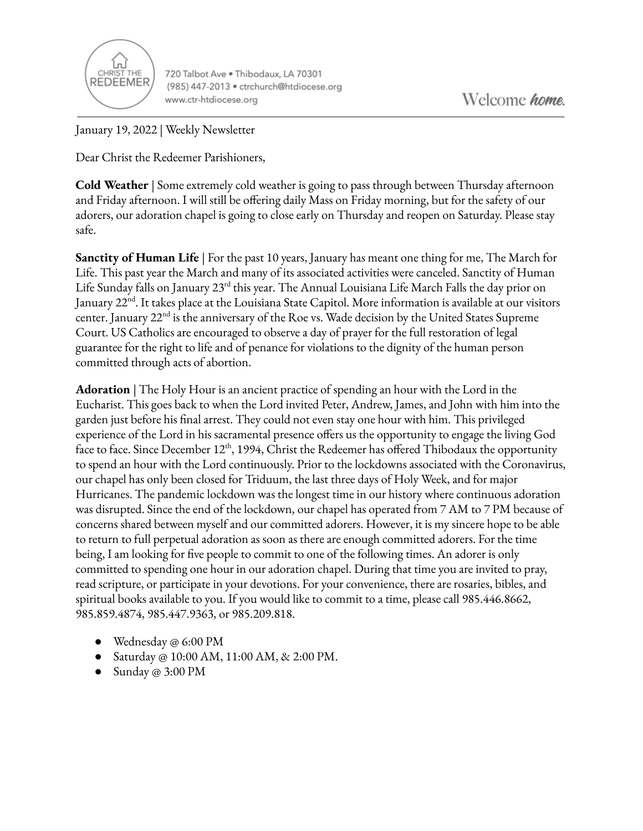

720 Talbot Ave . Thibodaux, LA 70301 (985) 447-2013 · ctrchurch@htdiocese.org www.ctr-htdiocese.org

January 19, 2022 | Weekly Newsletter

Dear Christ the Redeemer Parishioners,

**Cold Weather** | Some extremely cold weather is going to pass through between Thursday afternoon and Friday afternoon. I will still be offering daily Mass on Friday morning, but for the safety of our adorers, our adoration chapel is going to close early on Thursday and reopen on Saturday. Please stay safe.

**Sanctity of Human Life** | For the past 10 years, January has meant one thing for me, The March for Life. This past year the March and many of its associated activities were canceled. Sanctity of Human Life Sunday falls on January 23<sup>rd</sup> this year. The Annual Louisiana Life March Falls the day prior on January 22<sup>nd</sup>. It takes place at the Louisiana State Capitol. More information is available at our visitors center. January 22<sup>nd</sup> is the anniversary of the Roe vs. Wade decision by the United States Supreme Court. US Catholics are encouraged to observe a day of prayer for the full restoration of legal guarantee for the right to life and of penance for violations to the dignity of the human person committed through acts of abortion.

**Adoration** | The Holy Hour is an ancient practice of spending an hour with the Lord in the Eucharist. This goes back to when the Lord invited Peter, Andrew, James, and John with him into the garden just before his final arrest. They could not even stay one hour with him. This privileged experience of the Lord in his sacramental presence offers us the opportunity to engage the living God face to face. Since December 12<sup>th</sup>, 1994, Christ the Redeemer has offered Thibodaux the opportunity to spend an hour with the Lord continuously. Prior to the lockdowns associated with the Coronavirus, our chapel has only been closed for Triduum, the last three days of Holy Week, and for major Hurricanes. The pandemic lockdown was the longest time in our history where continuous adoration was disrupted. Since the end of the lockdown, our chapel has operated from 7 AM to 7 PM because of concerns shared between myself and our committed adorers. However, it is my sincere hope to be able to return to full perpetual adoration as soon as there are enough committed adorers. For the time being, I am looking for five people to commit to one of the following times. An adorer is only committed to spending one hour in our adoration chapel. During that time you are invited to pray, read scripture, or participate in your devotions. For your convenience, there are rosaries, bibles, and spiritual books available to you. If you would like to commit to a time, please call 985.446.8662, 985.859.4874, 985.447.9363, or 985.209.818.

- Wednesday @ 6:00 PM
- Saturday @ 10:00 AM, 11:00 AM, & 2:00 PM.
- Sunday @ 3:00 PM